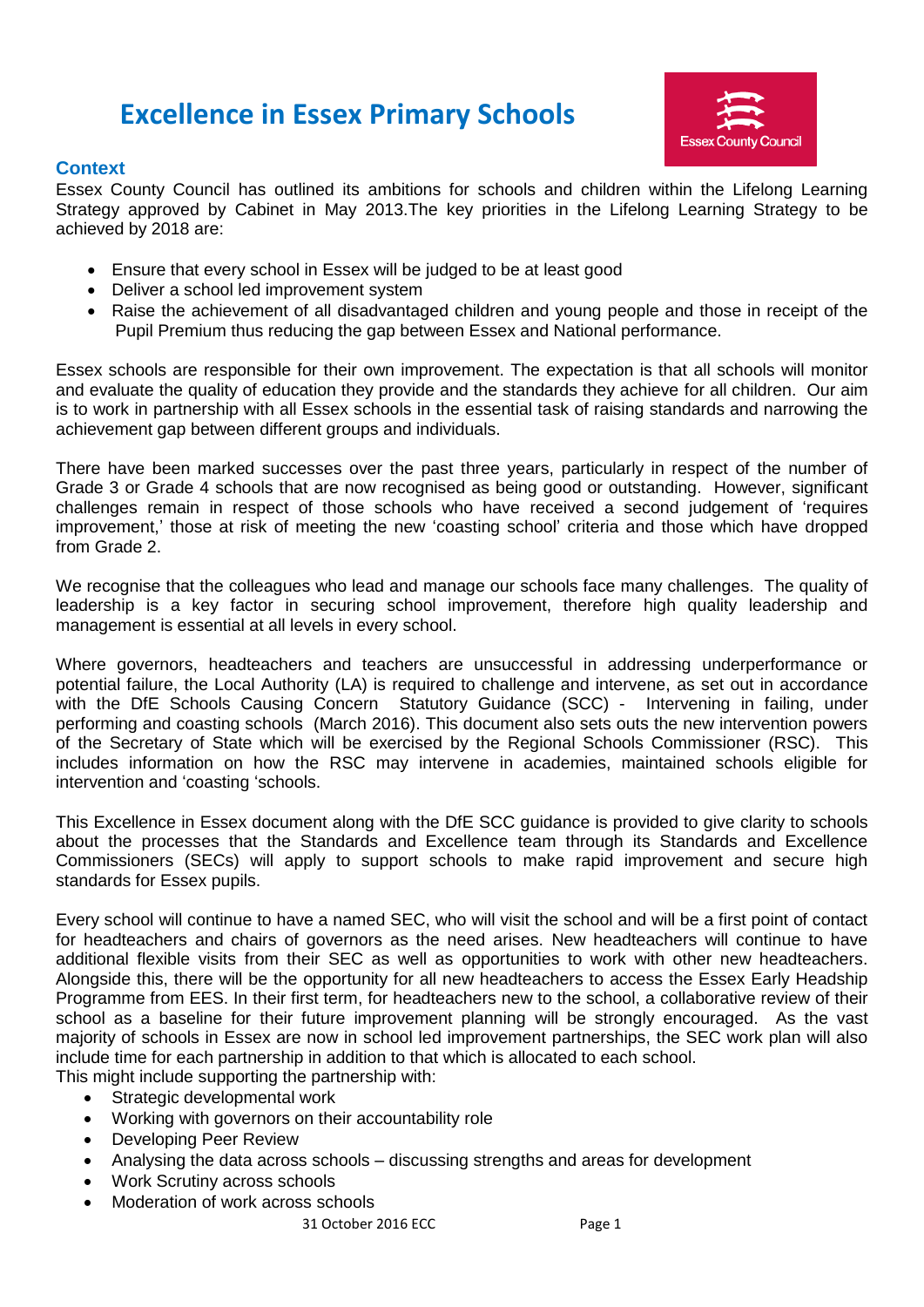# **Excellence in Essex Primary Schools**



# **Context**

Essex County Council has outlined its ambitions for schools and children within the Lifelong Learning Strategy approved by Cabinet in May 2013.The key priorities in the Lifelong Learning Strategy to be achieved by 2018 are:

- Ensure that every school in Essex will be judged to be at least good
- Deliver a school led improvement system
- Raise the achievement of all disadvantaged children and young people and those in receipt of the Pupil Premium thus reducing the gap between Essex and National performance.

Essex schools are responsible for their own improvement. The expectation is that all schools will monitor and evaluate the quality of education they provide and the standards they achieve for all children. Our aim is to work in partnership with all Essex schools in the essential task of raising standards and narrowing the achievement gap between different groups and individuals.

There have been marked successes over the past three years, particularly in respect of the number of Grade 3 or Grade 4 schools that are now recognised as being good or outstanding. However, significant challenges remain in respect of those schools who have received a second judgement of 'requires improvement,' those at risk of meeting the new 'coasting school' criteria and those which have dropped from Grade 2.

We recognise that the colleagues who lead and manage our schools face many challenges. The quality of leadership is a key factor in securing school improvement, therefore high quality leadership and management is essential at all levels in every school.

Where governors, headteachers and teachers are unsuccessful in addressing underperformance or potential failure, the Local Authority (LA) is required to challenge and intervene, as set out in accordance with the DfE Schools Causing Concern Statutory Guidance (SCC) - Intervening in failing, under performing and coasting schools (March 2016). This document also sets outs the new intervention powers of the Secretary of State which will be exercised by the Regional Schools Commissioner (RSC). This includes information on how the RSC may intervene in academies, maintained schools eligible for intervention and 'coasting 'schools.

This Excellence in Essex document along with the DfE SCC guidance is provided to give clarity to schools about the processes that the Standards and Excellence team through its Standards and Excellence Commissioners (SECs) will apply to support schools to make rapid improvement and secure high standards for Essex pupils.

Every school will continue to have a named SEC, who will visit the school and will be a first point of contact for headteachers and chairs of governors as the need arises. New headteachers will continue to have additional flexible visits from their SEC as well as opportunities to work with other new headteachers. Alongside this, there will be the opportunity for all new headteachers to access the Essex Early Headship Programme from EES. In their first term, for headteachers new to the school, a collaborative review of their school as a baseline for their future improvement planning will be strongly encouraged. As the vast majority of schools in Essex are now in school led improvement partnerships, the SEC work plan will also include time for each partnership in addition to that which is allocated to each school.

This might include supporting the partnership with:

- Strategic developmental work
- Working with governors on their accountability role
- Developing Peer Review
- Analysing the data across schools discussing strengths and areas for development
- Work Scrutiny across schools
- Moderation of work across schools

31 October 2016 ECC Page 1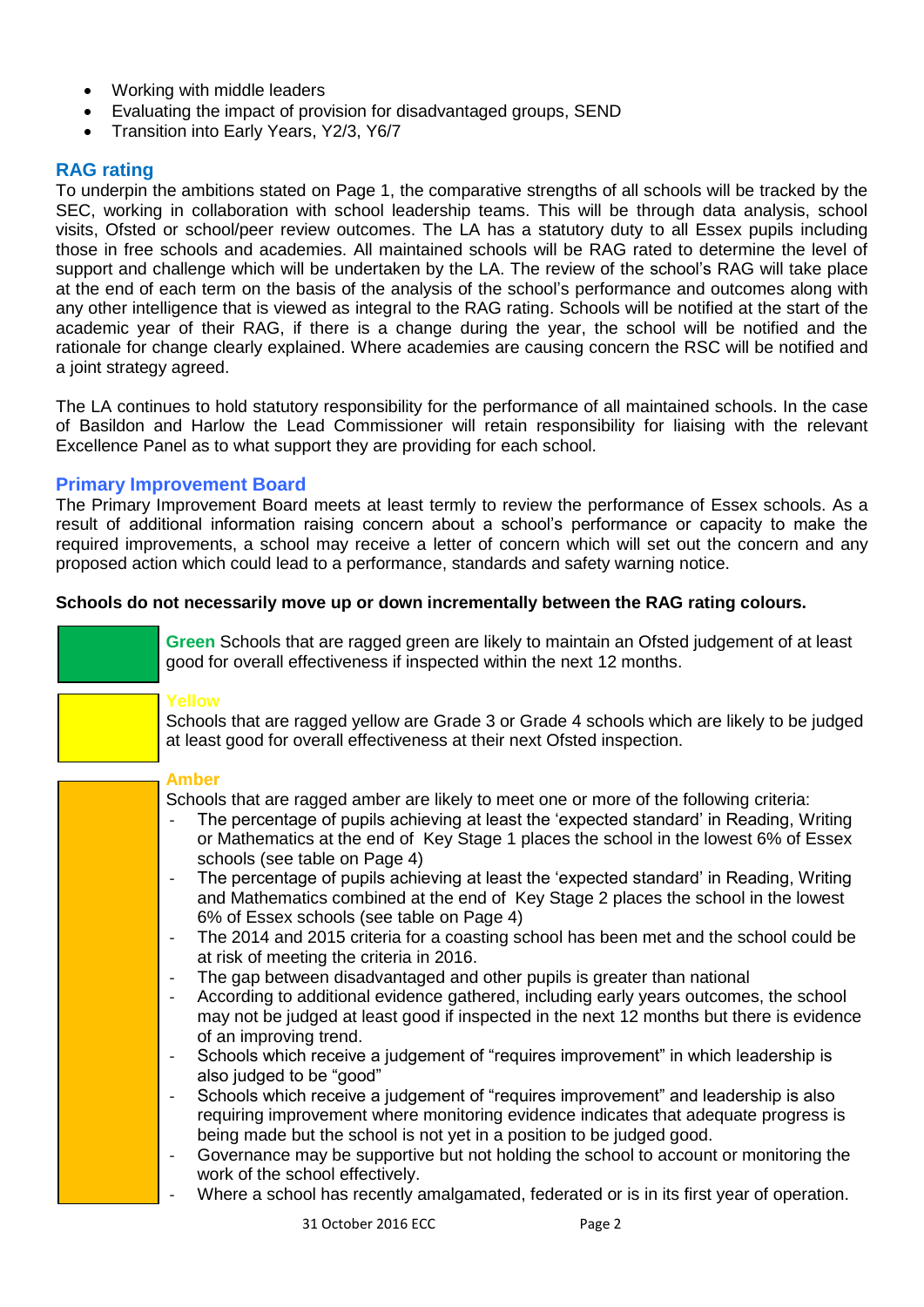- Working with middle leaders
- Evaluating the impact of provision for disadvantaged groups, SEND
- Transition into Early Years, Y2/3, Y6/7

# **RAG rating**

To underpin the ambitions stated on Page 1, the comparative strengths of all schools will be tracked by the SEC, working in collaboration with school leadership teams. This will be through data analysis, school visits, Ofsted or school/peer review outcomes. The LA has a statutory duty to all Essex pupils including those in free schools and academies. All maintained schools will be RAG rated to determine the level of support and challenge which will be undertaken by the LA. The review of the school's RAG will take place at the end of each term on the basis of the analysis of the school's performance and outcomes along with any other intelligence that is viewed as integral to the RAG rating. Schools will be notified at the start of the academic year of their RAG, if there is a change during the year, the school will be notified and the rationale for change clearly explained. Where academies are causing concern the RSC will be notified and a joint strategy agreed.

The LA continues to hold statutory responsibility for the performance of all maintained schools. In the case of Basildon and Harlow the Lead Commissioner will retain responsibility for liaising with the relevant Excellence Panel as to what support they are providing for each school.

# **Primary Improvement Board**

The Primary Improvement Board meets at least termly to review the performance of Essex schools. As a result of additional information raising concern about a school's performance or capacity to make the required improvements, a school may receive a letter of concern which will set out the concern and any proposed action which could lead to a performance, standards and safety warning notice.

# **Schools do not necessarily move up or down incrementally between the RAG rating colours.**



**Green** Schools that are ragged green are likely to maintain an Ofsted judgement of at least good for overall effectiveness if inspected within the next 12 months.

#### **Yellow**

Schools that are ragged yellow are Grade 3 or Grade 4 schools which are likely to be judged at least good for overall effectiveness at their next Ofsted inspection.

#### **Amber**

Schools that are ragged amber are likely to meet one or more of the following criteria:

- The percentage of pupils achieving at least the 'expected standard' in Reading, Writing or Mathematics at the end of Key Stage 1 places the school in the lowest 6% of Essex schools (see table on Page 4)
- The percentage of pupils achieving at least the 'expected standard' in Reading, Writing and Mathematics combined at the end of Key Stage 2 places the school in the lowest 6% of Essex schools (see table on Page 4)
- The 2014 and 2015 criteria for a coasting school has been met and the school could be at risk of meeting the criteria in 2016.
- The gap between disadvantaged and other pupils is greater than national
- According to additional evidence gathered, including early years outcomes, the school may not be judged at least good if inspected in the next 12 months but there is evidence of an improving trend.
- Schools which receive a judgement of "requires improvement" in which leadership is also judged to be "good"
- Schools which receive a judgement of "requires improvement" and leadership is also requiring improvement where monitoring evidence indicates that adequate progress is being made but the school is not yet in a position to be judged good.
- Governance may be supportive but not holding the school to account or monitoring the work of the school effectively.
- Where a school has recently amalgamated, federated or is in its first year of operation.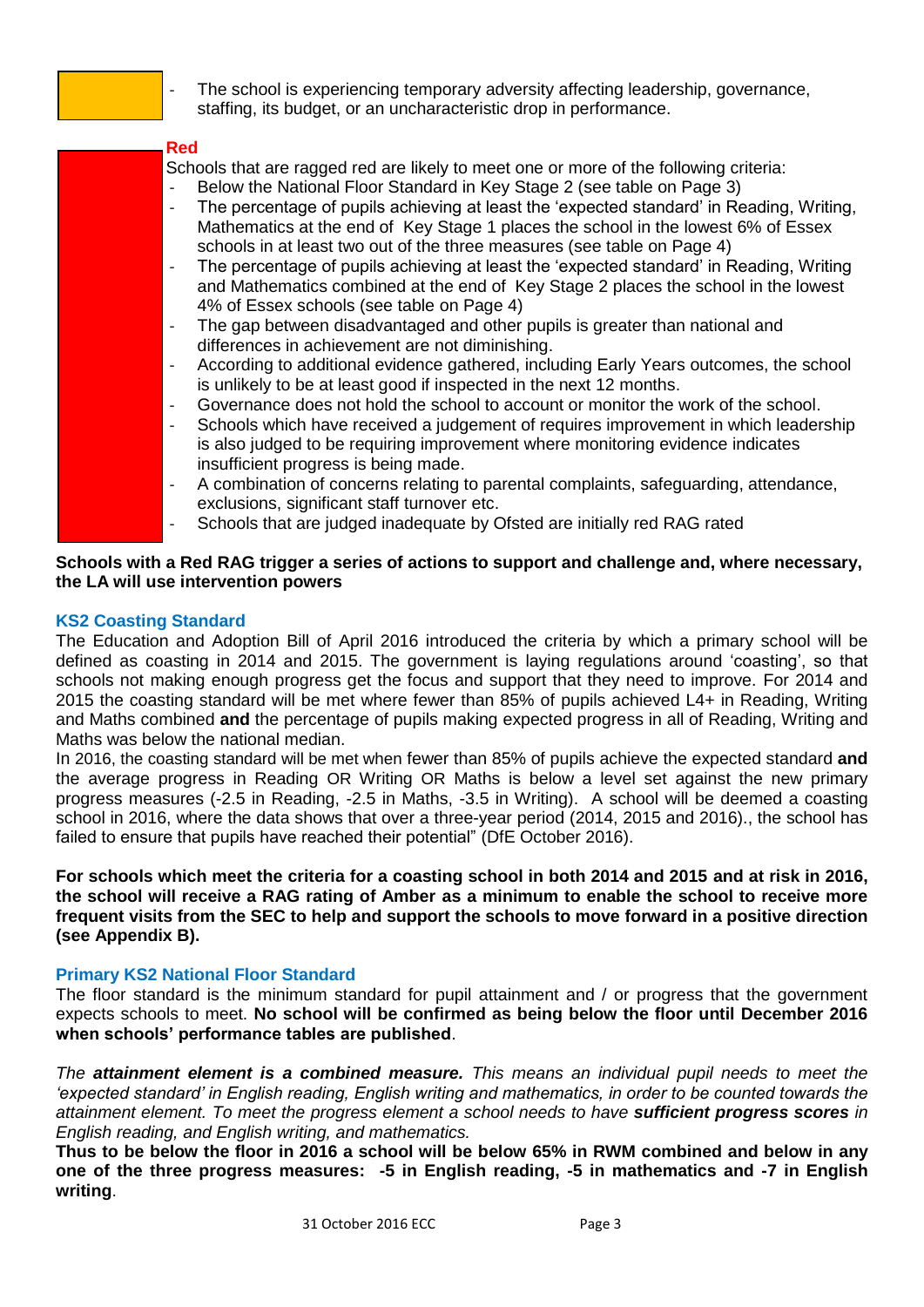

The school is experiencing temporary adversity affecting leadership, governance, staffing, its budget, or an uncharacteristic drop in performance.

#### **Red**

Schools that are ragged red are likely to meet one or more of the following criteria:

- Below the National Floor Standard in Key Stage 2 (see table on Page 3)
- The percentage of pupils achieving at least the 'expected standard' in Reading, Writing, Mathematics at the end of Key Stage 1 places the school in the lowest 6% of Essex schools in at least two out of the three measures (see table on Page 4)
- The percentage of pupils achieving at least the 'expected standard' in Reading, Writing and Mathematics combined at the end of Key Stage 2 places the school in the lowest 4% of Essex schools (see table on Page 4)
- The gap between disadvantaged and other pupils is greater than national and differences in achievement are not diminishing.
- According to additional evidence gathered, including Early Years outcomes, the school is unlikely to be at least good if inspected in the next 12 months.
- Governance does not hold the school to account or monitor the work of the school.
- Schools which have received a judgement of requires improvement in which leadership is also judged to be requiring improvement where monitoring evidence indicates insufficient progress is being made.
- A combination of concerns relating to parental complaints, safeguarding, attendance, exclusions, significant staff turnover etc.
- Schools that are judged inadequate by Ofsted are initially red RAG rated

# **Schools with a Red RAG trigger a series of actions to support and challenge and, where necessary, the LA will use intervention powers**

# **KS2 Coasting Standard**

The Education and Adoption Bill of April 2016 introduced the criteria by which a primary school will be defined as coasting in 2014 and 2015. The government is laying regulations around 'coasting', so that schools not making enough progress get the focus and support that they need to improve. For 2014 and 2015 the coasting standard will be met where fewer than 85% of pupils achieved L4+ in Reading, Writing and Maths combined **and** the percentage of pupils making expected progress in all of Reading, Writing and Maths was below the national median.

In 2016, the coasting standard will be met when fewer than 85% of pupils achieve the expected standard **and** the average progress in Reading OR Writing OR Maths is below a level set against the new primary progress measures (-2.5 in Reading, -2.5 in Maths, -3.5 in Writing). A school will be deemed a coasting school in 2016, where the data shows that over a three-year period (2014, 2015 and 2016)., the school has failed to ensure that pupils have reached their potential" (DfE October 2016).

**For schools which meet the criteria for a coasting school in both 2014 and 2015 and at risk in 2016, the school will receive a RAG rating of Amber as a minimum to enable the school to receive more frequent visits from the SEC to help and support the schools to move forward in a positive direction (see Appendix B).**

# **Primary KS2 National Floor Standard**

The floor standard is the minimum standard for pupil attainment and / or progress that the government expects schools to meet. **No school will be confirmed as being below the floor until December 2016 when schools' performance tables are published**.

*The attainment element is a combined measure. This means an individual pupil needs to meet the 'expected standard' in English reading, English writing and mathematics, in order to be counted towards the attainment element. To meet the progress element a school needs to have sufficient progress scores in English reading, and English writing, and mathematics.* 

**Thus to be below the floor in 2016 a school will be below 65% in RWM combined and below in any one of the three progress measures: -5 in English reading, -5 in mathematics and -7 in English writing**.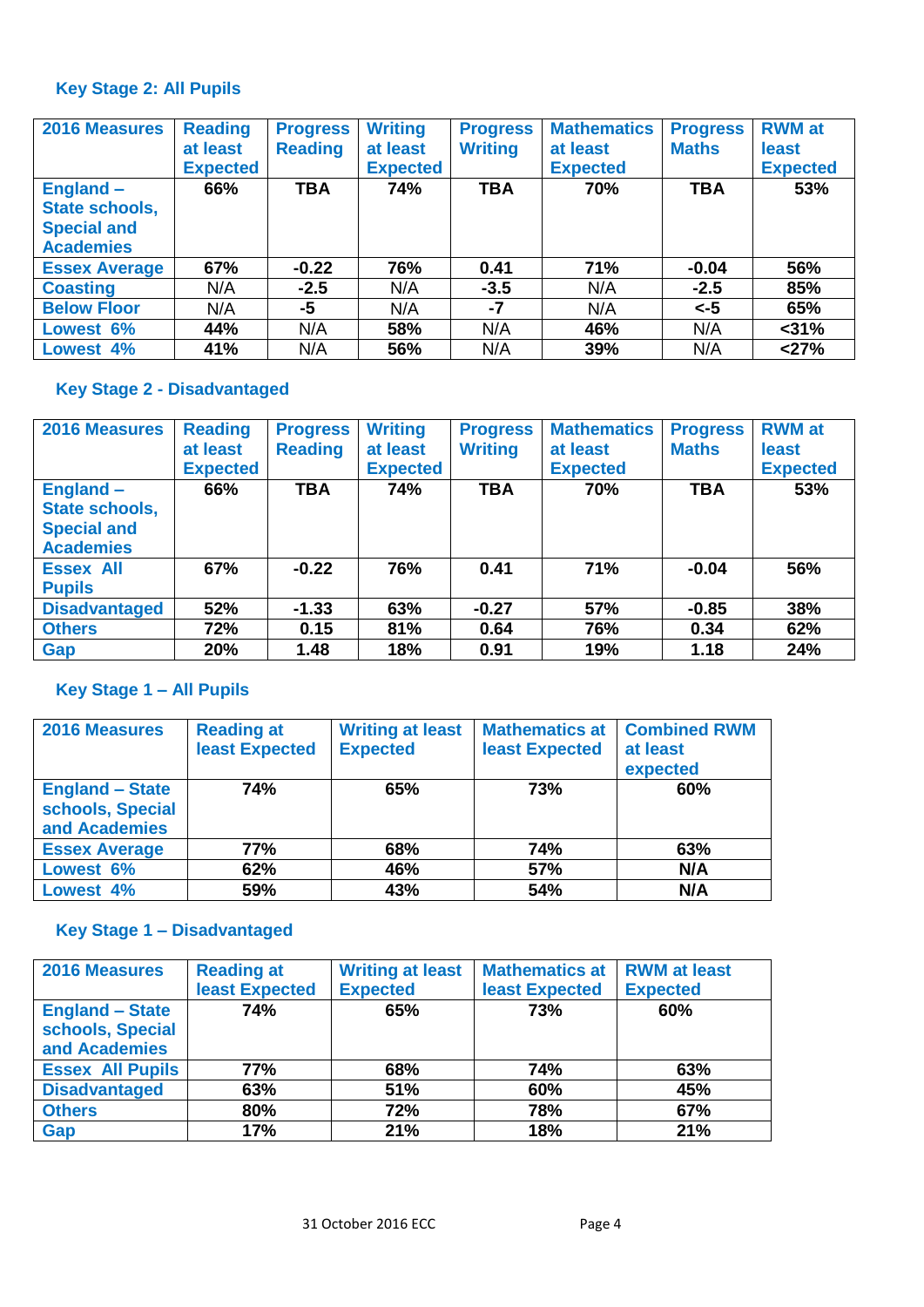# **Key Stage 2: All Pupils**

| 2016 Measures                                                                | <b>Reading</b><br>at least<br><b>Expected</b> | <b>Progress</b><br><b>Reading</b> | <b>Writing</b><br>at least<br><b>Expected</b> | <b>Progress</b><br><b>Writing</b> | <b>Mathematics</b><br>at least<br><b>Expected</b> | <b>Progress</b><br><b>Maths</b> | <b>RWM</b> at<br>least<br><b>Expected</b> |
|------------------------------------------------------------------------------|-----------------------------------------------|-----------------------------------|-----------------------------------------------|-----------------------------------|---------------------------------------------------|---------------------------------|-------------------------------------------|
| <b>England –</b><br>State schools,<br><b>Special and</b><br><b>Academies</b> | 66%                                           | <b>TBA</b>                        | 74%                                           | <b>TBA</b>                        | 70%                                               | <b>TBA</b>                      | 53%                                       |
| <b>Essex Average</b>                                                         | 67%                                           | $-0.22$                           | 76%                                           | 0.41                              | 71%                                               | $-0.04$                         | 56%                                       |
| <b>Coasting</b>                                                              | N/A                                           | $-2.5$                            | N/A                                           | $-3.5$                            | N/A                                               | $-2.5$                          | 85%                                       |
| <b>Below Floor</b>                                                           | N/A                                           | -5                                | N/A                                           | $-7$                              | N/A                                               | $\leq -5$                       | 65%                                       |
| Lowest 6%                                                                    | 44%                                           | N/A                               | 58%                                           | N/A                               | 46%                                               | N/A                             | $<$ 31%                                   |
| Lowest 4%                                                                    | 41%                                           | N/A                               | 56%                                           | N/A                               | 39%                                               | N/A                             | < 27%                                     |

# **Key Stage 2 - Disadvantaged**

| 2016 Measures                                                           | <b>Reading</b><br>at least<br><b>Expected</b> | <b>Progress</b><br><b>Reading</b> | <b>Writing</b><br>at least<br><b>Expected</b> | <b>Progress</b><br><b>Writing</b> | <b>Mathematics</b><br>at least<br><b>Expected</b> | <b>Progress</b><br><b>Maths</b> | <b>RWM</b> at<br>least<br><b>Expected</b> |
|-------------------------------------------------------------------------|-----------------------------------------------|-----------------------------------|-----------------------------------------------|-----------------------------------|---------------------------------------------------|---------------------------------|-------------------------------------------|
| $England -$<br>State schools,<br><b>Special and</b><br><b>Academies</b> | 66%                                           | <b>TBA</b>                        | 74%                                           | <b>TBA</b>                        | 70%                                               | <b>TBA</b>                      | 53%                                       |
| <b>Essex All</b><br><b>Pupils</b>                                       | 67%                                           | $-0.22$                           | 76%                                           | 0.41                              | 71%                                               | $-0.04$                         | 56%                                       |
| <b>Disadvantaged</b>                                                    | 52%                                           | $-1.33$                           | 63%                                           | $-0.27$                           | 57%                                               | $-0.85$                         | 38%                                       |
| <b>Others</b>                                                           | 72%                                           | 0.15                              | 81%                                           | 0.64                              | 76%                                               | 0.34                            | 62%                                       |
| Gap                                                                     | 20%                                           | 1.48                              | 18%                                           | 0.91                              | 19%                                               | 1.18                            | 24%                                       |

# **Key Stage 1 – All Pupils**

| <b>2016 Measures</b>                                        | <b>Reading at</b><br><b>least Expected</b> | <b>Writing at least</b><br><b>Expected</b> | <b>Mathematics at</b><br>least Expected | <b>Combined RWM</b><br>at least<br>expected |  |
|-------------------------------------------------------------|--------------------------------------------|--------------------------------------------|-----------------------------------------|---------------------------------------------|--|
| <b>England - State</b><br>schools, Special<br>and Academies | 74%                                        | 65%                                        | 73%                                     | 60%                                         |  |
| <b>Essex Average</b>                                        | 77%                                        | 68%                                        | 74%                                     | 63%                                         |  |
| Lowest 6%                                                   | 62%                                        | 46%                                        | 57%                                     | N/A                                         |  |
| Lowest 4%                                                   | 59%                                        | 43%                                        | 54%                                     | N/A                                         |  |

# **Key Stage 1 – Disadvantaged**

| <b>2016 Measures</b>                                        | <b>Reading at</b>     | <b>Writing at least</b> | <b>Mathematics at</b> | <b>RWM</b> at least |
|-------------------------------------------------------------|-----------------------|-------------------------|-----------------------|---------------------|
|                                                             | <b>least Expected</b> | <b>Expected</b>         | least Expected        | <b>Expected</b>     |
| <b>England - State</b><br>schools, Special<br>and Academies | <b>74%</b>            | 65%                     | 73%                   | 60%                 |
| <b>Essex All Pupils</b>                                     | <b>77%</b>            | 68%                     | 74%                   | 63%                 |
| <b>Disadvantaged</b>                                        | 63%                   | 51%                     | 60%                   | 45%                 |
| <b>Others</b>                                               | 80%                   | 72%                     | 78%                   | 67%                 |
| <b>Gap</b>                                                  | 17%                   | 21%                     | 18%                   | 21%                 |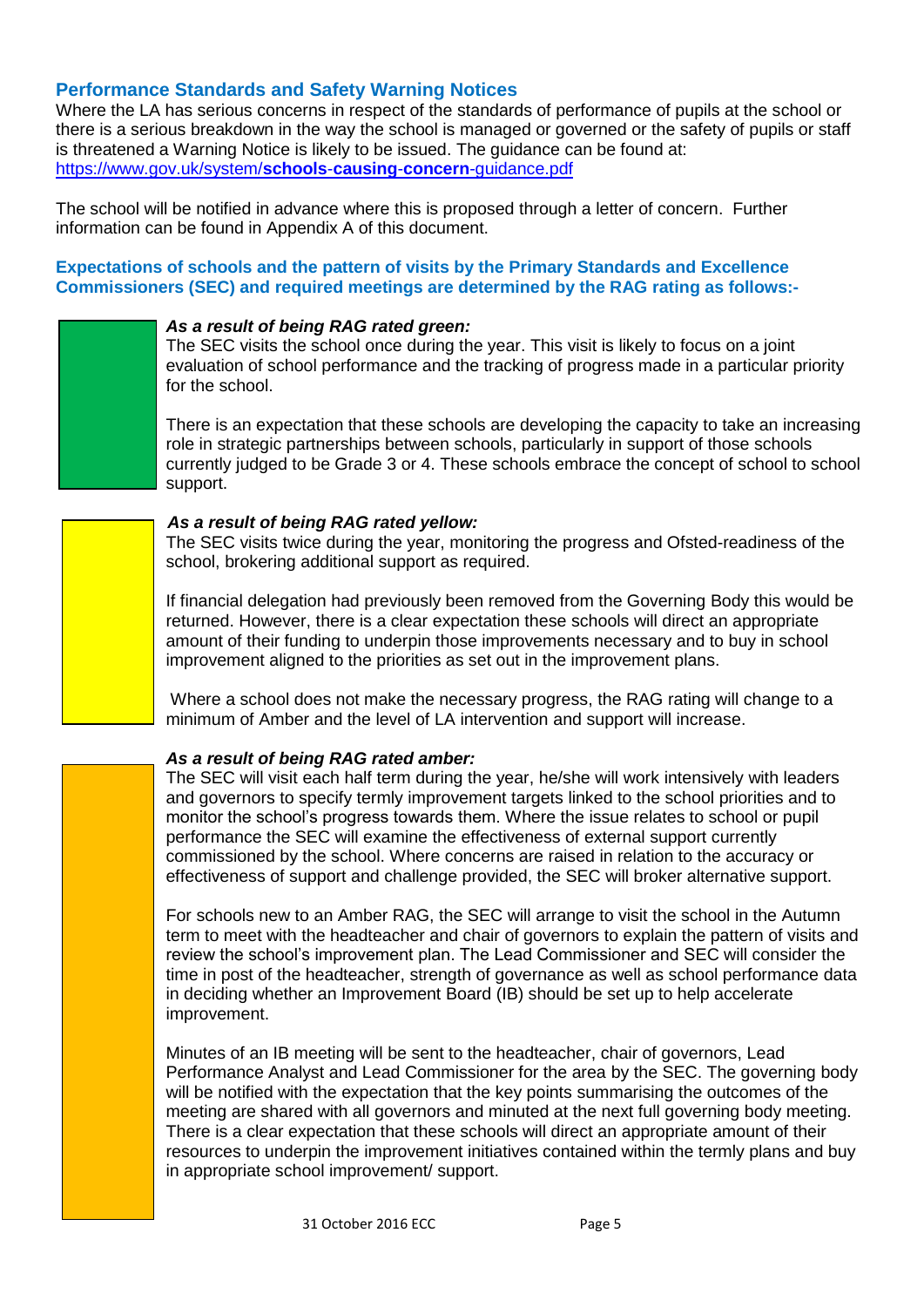# **Performance Standards and Safety Warning Notices**

Where the LA has serious concerns in respect of the standards of performance of pupils at the school or there is a serious breakdown in the way the school is managed or governed or the safety of pupils or staff is threatened a Warning Notice is likely to be issued. The guidance can be found at: [https://www.gov.uk/system/](https://www.gov.uk/system/schools-causing-concern-guidance.pdf)**schools**-**causing**-**concern**-guidance.pdf

The school will be notified in advance where this is proposed through a letter of concern. Further information can be found in Appendix A of this document.

# **Expectations of schools and the pattern of visits by the Primary Standards and Excellence Commissioners (SEC) and required meetings are determined by the RAG rating as follows:-**

#### *As a result of being RAG rated green:*

The SEC visits the school once during the year. This visit is likely to focus on a joint evaluation of school performance and the tracking of progress made in a particular priority for the school.

There is an expectation that these schools are developing the capacity to take an increasing role in strategic partnerships between schools, particularly in support of those schools currently judged to be Grade 3 or 4. These schools embrace the concept of school to school support.

#### *As a result of being RAG rated yellow:*

The SEC visits twice during the year, monitoring the progress and Ofsted-readiness of the school, brokering additional support as required.

If financial delegation had previously been removed from the Governing Body this would be returned. However, there is a clear expectation these schools will direct an appropriate amount of their funding to underpin those improvements necessary and to buy in school improvement aligned to the priorities as set out in the improvement plans.

Where a school does not make the necessary progress, the RAG rating will change to a minimum of Amber and the level of LA intervention and support will increase.

# *As a result of being RAG rated amber:*

The SEC will visit each half term during the year, he/she will work intensively with leaders and governors to specify termly improvement targets linked to the school priorities and to monitor the school's progress towards them. Where the issue relates to school or pupil performance the SEC will examine the effectiveness of external support currently commissioned by the school. Where concerns are raised in relation to the accuracy or effectiveness of support and challenge provided, the SEC will broker alternative support.

For schools new to an Amber RAG, the SEC will arrange to visit the school in the Autumn term to meet with the headteacher and chair of governors to explain the pattern of visits and review the school's improvement plan. The Lead Commissioner and SEC will consider the time in post of the headteacher, strength of governance as well as school performance data in deciding whether an Improvement Board (IB) should be set up to help accelerate improvement.

Minutes of an IB meeting will be sent to the headteacher, chair of governors, Lead Performance Analyst and Lead Commissioner for the area by the SEC. The governing body will be notified with the expectation that the key points summarising the outcomes of the meeting are shared with all governors and minuted at the next full governing body meeting. There is a clear expectation that these schools will direct an appropriate amount of their resources to underpin the improvement initiatives contained within the termly plans and buy in appropriate school improvement/ support.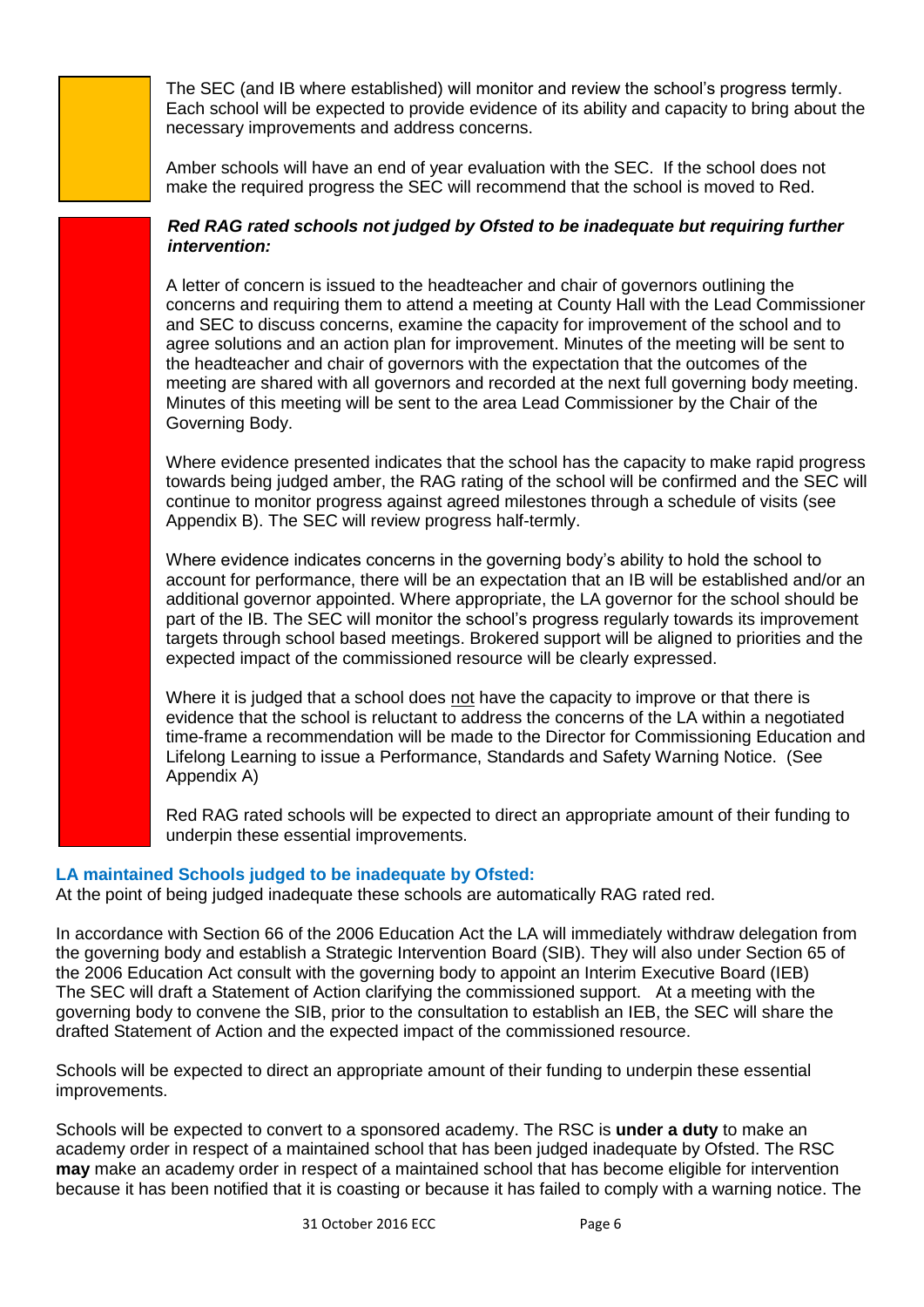The SEC (and IB where established) will monitor and review the school's progress termly. Each school will be expected to provide evidence of its ability and capacity to bring about the necessary improvements and address concerns.

Amber schools will have an end of year evaluation with the SEC. If the school does not make the required progress the SEC will recommend that the school is moved to Red.

# *Red RAG rated schools not judged by Ofsted to be inadequate but requiring further intervention:*

A letter of concern is issued to the headteacher and chair of governors outlining the concerns and requiring them to attend a meeting at County Hall with the Lead Commissioner and SEC to discuss concerns, examine the capacity for improvement of the school and to agree solutions and an action plan for improvement. Minutes of the meeting will be sent to the headteacher and chair of governors with the expectation that the outcomes of the meeting are shared with all governors and recorded at the next full governing body meeting. Minutes of this meeting will be sent to the area Lead Commissioner by the Chair of the Governing Body.

Where evidence presented indicates that the school has the capacity to make rapid progress towards being judged amber, the RAG rating of the school will be confirmed and the SEC will continue to monitor progress against agreed milestones through a schedule of visits (see Appendix B). The SEC will review progress half-termly.

Where evidence indicates concerns in the governing body's ability to hold the school to account for performance, there will be an expectation that an IB will be established and/or an additional governor appointed. Where appropriate, the LA governor for the school should be part of the IB. The SEC will monitor the school's progress regularly towards its improvement targets through school based meetings. Brokered support will be aligned to priorities and the expected impact of the commissioned resource will be clearly expressed.

Where it is judged that a school does not have the capacity to improve or that there is evidence that the school is reluctant to address the concerns of the LA within a negotiated time-frame a recommendation will be made to the Director for Commissioning Education and Lifelong Learning to issue a Performance, Standards and Safety Warning Notice. (See Appendix A)

Red RAG rated schools will be expected to direct an appropriate amount of their funding to underpin these essential improvements.

# **LA maintained Schools judged to be inadequate by Ofsted:**

At the point of being judged inadequate these schools are automatically RAG rated red.

In accordance with Section 66 of the 2006 Education Act the LA will immediately withdraw delegation from the governing body and establish a Strategic Intervention Board (SIB). They will also under Section 65 of the 2006 Education Act consult with the governing body to appoint an Interim Executive Board (IEB) The SEC will draft a Statement of Action clarifying the commissioned support. At a meeting with the governing body to convene the SIB, prior to the consultation to establish an IEB, the SEC will share the drafted Statement of Action and the expected impact of the commissioned resource.

Schools will be expected to direct an appropriate amount of their funding to underpin these essential improvements.

Schools will be expected to convert to a sponsored academy. The RSC is **under a duty** to make an academy order in respect of a maintained school that has been judged inadequate by Ofsted. The RSC **may** make an academy order in respect of a maintained school that has become eligible for intervention because it has been notified that it is coasting or because it has failed to comply with a warning notice. The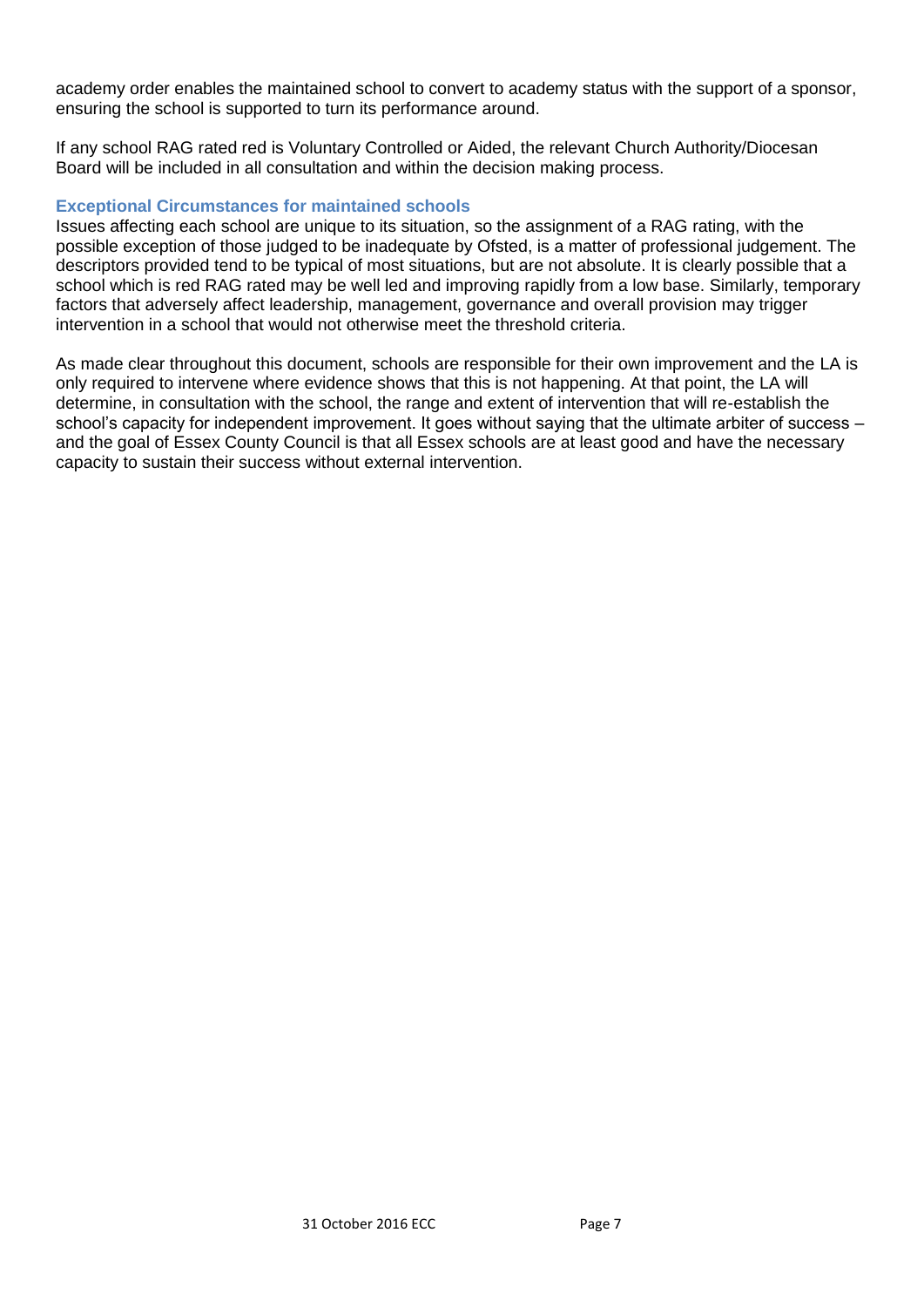academy order enables the maintained school to convert to academy status with the support of a sponsor, ensuring the school is supported to turn its performance around.

If any school RAG rated red is Voluntary Controlled or Aided, the relevant Church Authority/Diocesan Board will be included in all consultation and within the decision making process.

#### **Exceptional Circumstances for maintained schools**

Issues affecting each school are unique to its situation, so the assignment of a RAG rating, with the possible exception of those judged to be inadequate by Ofsted, is a matter of professional judgement. The descriptors provided tend to be typical of most situations, but are not absolute. It is clearly possible that a school which is red RAG rated may be well led and improving rapidly from a low base. Similarly, temporary factors that adversely affect leadership, management, governance and overall provision may trigger intervention in a school that would not otherwise meet the threshold criteria.

As made clear throughout this document, schools are responsible for their own improvement and the LA is only required to intervene where evidence shows that this is not happening. At that point, the LA will determine, in consultation with the school, the range and extent of intervention that will re-establish the school's capacity for independent improvement. It goes without saying that the ultimate arbiter of success – and the goal of Essex County Council is that all Essex schools are at least good and have the necessary capacity to sustain their success without external intervention.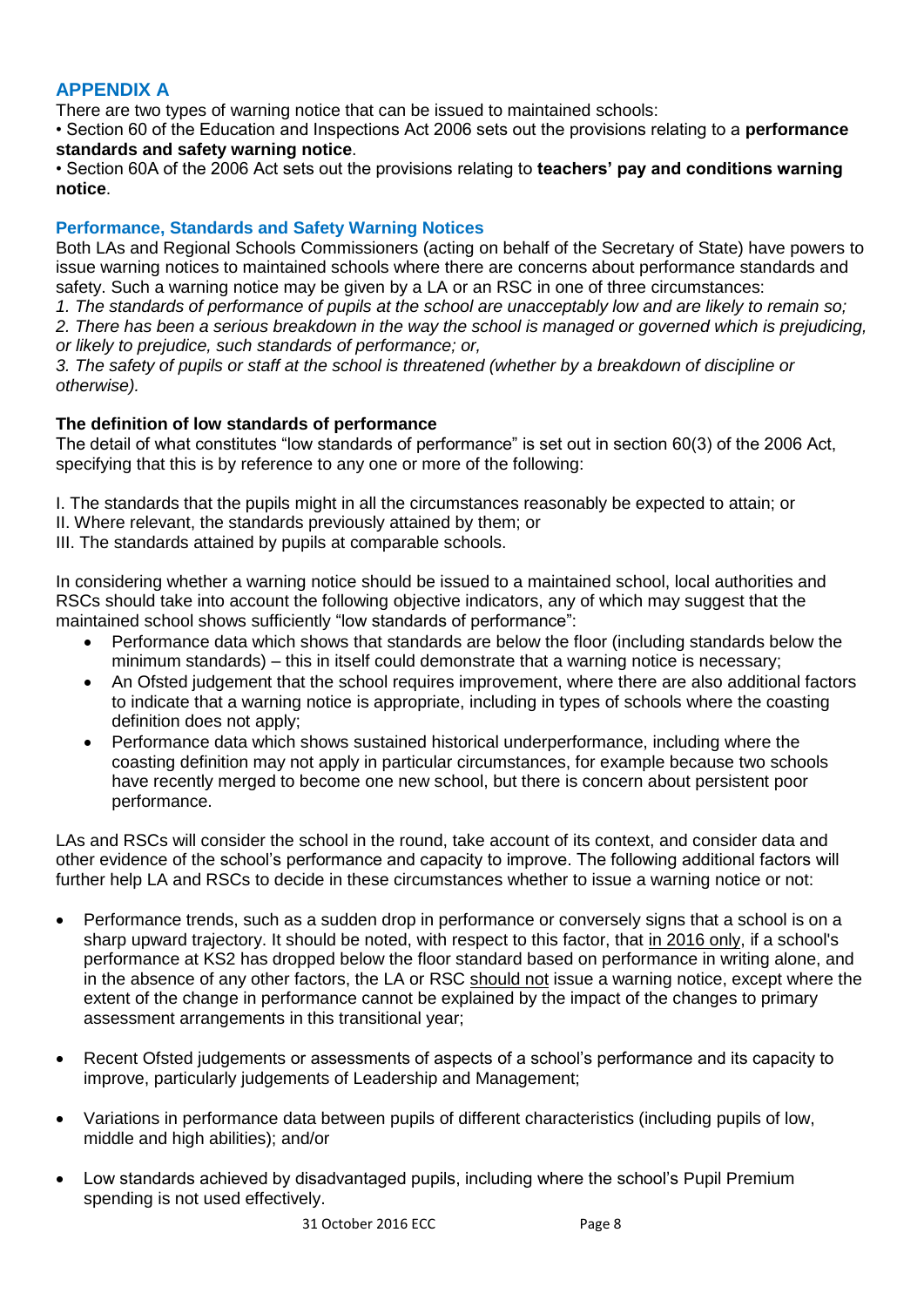# **APPENDIX A**

There are two types of warning notice that can be issued to maintained schools:

• Section 60 of the Education and Inspections Act 2006 sets out the provisions relating to a **performance standards and safety warning notice**.

• Section 60A of the 2006 Act sets out the provisions relating to **teachers' pay and conditions warning notice**.

# **Performance, Standards and Safety Warning Notices**

Both LAs and Regional Schools Commissioners (acting on behalf of the Secretary of State) have powers to issue warning notices to maintained schools where there are concerns about performance standards and safety. Such a warning notice may be given by a LA or an RSC in one of three circumstances:

*1. The standards of performance of pupils at the school are unacceptably low and are likely to remain so; 2. There has been a serious breakdown in the way the school is managed or governed which is prejudicing, or likely to prejudice, such standards of performance; or,* 

*3. The safety of pupils or staff at the school is threatened (whether by a breakdown of discipline or otherwise).* 

# **The definition of low standards of performance**

The detail of what constitutes "low standards of performance" is set out in section 60(3) of the 2006 Act, specifying that this is by reference to any one or more of the following:

I. The standards that the pupils might in all the circumstances reasonably be expected to attain; or

- II. Where relevant, the standards previously attained by them; or
- III. The standards attained by pupils at comparable schools.

In considering whether a warning notice should be issued to a maintained school, local authorities and RSCs should take into account the following objective indicators, any of which may suggest that the maintained school shows sufficiently "low standards of performance":

- Performance data which shows that standards are below the floor (including standards below the minimum standards) – this in itself could demonstrate that a warning notice is necessary;
- An Ofsted judgement that the school requires improvement, where there are also additional factors to indicate that a warning notice is appropriate, including in types of schools where the coasting definition does not apply;
- Performance data which shows sustained historical underperformance, including where the coasting definition may not apply in particular circumstances, for example because two schools have recently merged to become one new school, but there is concern about persistent poor performance.

LAs and RSCs will consider the school in the round, take account of its context, and consider data and other evidence of the school's performance and capacity to improve. The following additional factors will further help LA and RSCs to decide in these circumstances whether to issue a warning notice or not:

- Performance trends, such as a sudden drop in performance or conversely signs that a school is on a sharp upward trajectory. It should be noted, with respect to this factor, that in 2016 only, if a school's performance at KS2 has dropped below the floor standard based on performance in writing alone, and in the absence of any other factors, the LA or RSC should not issue a warning notice, except where the extent of the change in performance cannot be explained by the impact of the changes to primary assessment arrangements in this transitional year;
- Recent Ofsted judgements or assessments of aspects of a school's performance and its capacity to improve, particularly judgements of Leadership and Management;
- Variations in performance data between pupils of different characteristics (including pupils of low, middle and high abilities); and/or
- Low standards achieved by disadvantaged pupils, including where the school's Pupil Premium spending is not used effectively.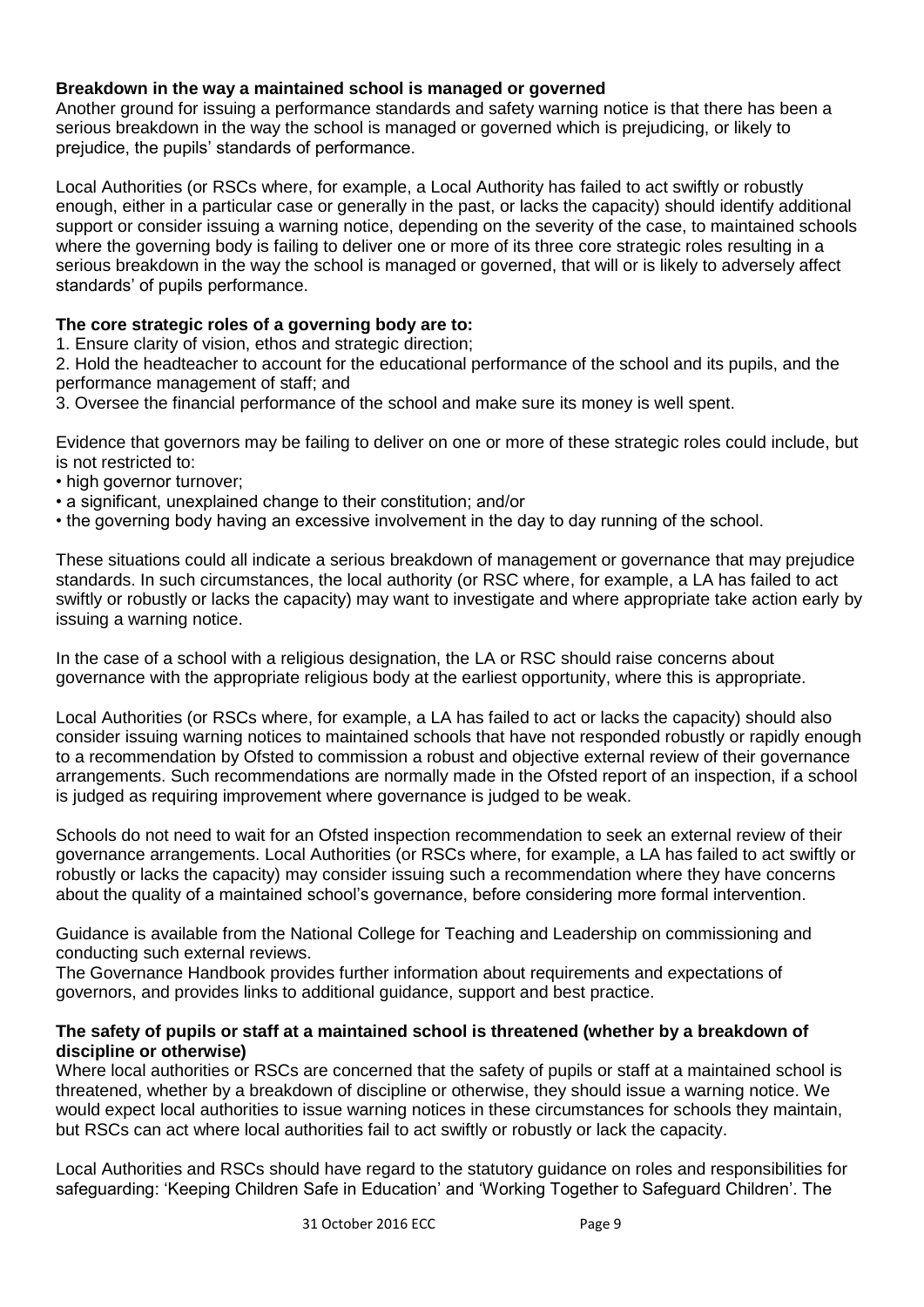# **Breakdown in the way a maintained school is managed or governed**

Another ground for issuing a performance standards and safety warning notice is that there has been a serious breakdown in the way the school is managed or governed which is prejudicing, or likely to prejudice, the pupils' standards of performance.

Local Authorities (or RSCs where, for example, a Local Authority has failed to act swiftly or robustly enough, either in a particular case or generally in the past, or lacks the capacity) should identify additional support or consider issuing a warning notice, depending on the severity of the case, to maintained schools where the governing body is failing to deliver one or more of its three core strategic roles resulting in a serious breakdown in the way the school is managed or governed, that will or is likely to adversely affect standards' of pupils performance.

# **The core strategic roles of a governing body are to:**

1. Ensure clarity of vision, ethos and strategic direction;

2. Hold the headteacher to account for the educational performance of the school and its pupils, and the performance management of staff; and

3. Oversee the financial performance of the school and make sure its money is well spent.

Evidence that governors may be failing to deliver on one or more of these strategic roles could include, but is not restricted to:

- high governor turnover;
- a significant, unexplained change to their constitution; and/or
- the governing body having an excessive involvement in the day to day running of the school.

These situations could all indicate a serious breakdown of management or governance that may prejudice standards. In such circumstances, the local authority (or RSC where, for example, a LA has failed to act swiftly or robustly or lacks the capacity) may want to investigate and where appropriate take action early by issuing a warning notice.

In the case of a school with a religious designation, the LA or RSC should raise concerns about governance with the appropriate religious body at the earliest opportunity, where this is appropriate.

Local Authorities (or RSCs where, for example, a LA has failed to act or lacks the capacity) should also consider issuing warning notices to maintained schools that have not responded robustly or rapidly enough to a recommendation by Ofsted to commission a robust and objective external review of their governance arrangements. Such recommendations are normally made in the Ofsted report of an inspection, if a school is judged as requiring improvement where governance is judged to be weak.

Schools do not need to wait for an Ofsted inspection recommendation to seek an external review of their governance arrangements. Local Authorities (or RSCs where, for example, a LA has failed to act swiftly or robustly or lacks the capacity) may consider issuing such a recommendation where they have concerns about the quality of a maintained school's governance, before considering more formal intervention.

Guidance is available from the National College for Teaching and Leadership on commissioning and conducting such external reviews.

The Governance Handbook provides further information about requirements and expectations of governors, and provides links to additional guidance, support and best practice.

# **The safety of pupils or staff at a maintained school is threatened (whether by a breakdown of discipline or otherwise)**

Where local authorities or RSCs are concerned that the safety of pupils or staff at a maintained school is threatened, whether by a breakdown of discipline or otherwise, they should issue a warning notice. We would expect local authorities to issue warning notices in these circumstances for schools they maintain, but RSCs can act where local authorities fail to act swiftly or robustly or lack the capacity.

Local Authorities and RSCs should have regard to the statutory guidance on roles and responsibilities for safeguarding: 'Keeping Children Safe in Education' and 'Working Together to Safeguard Children'. The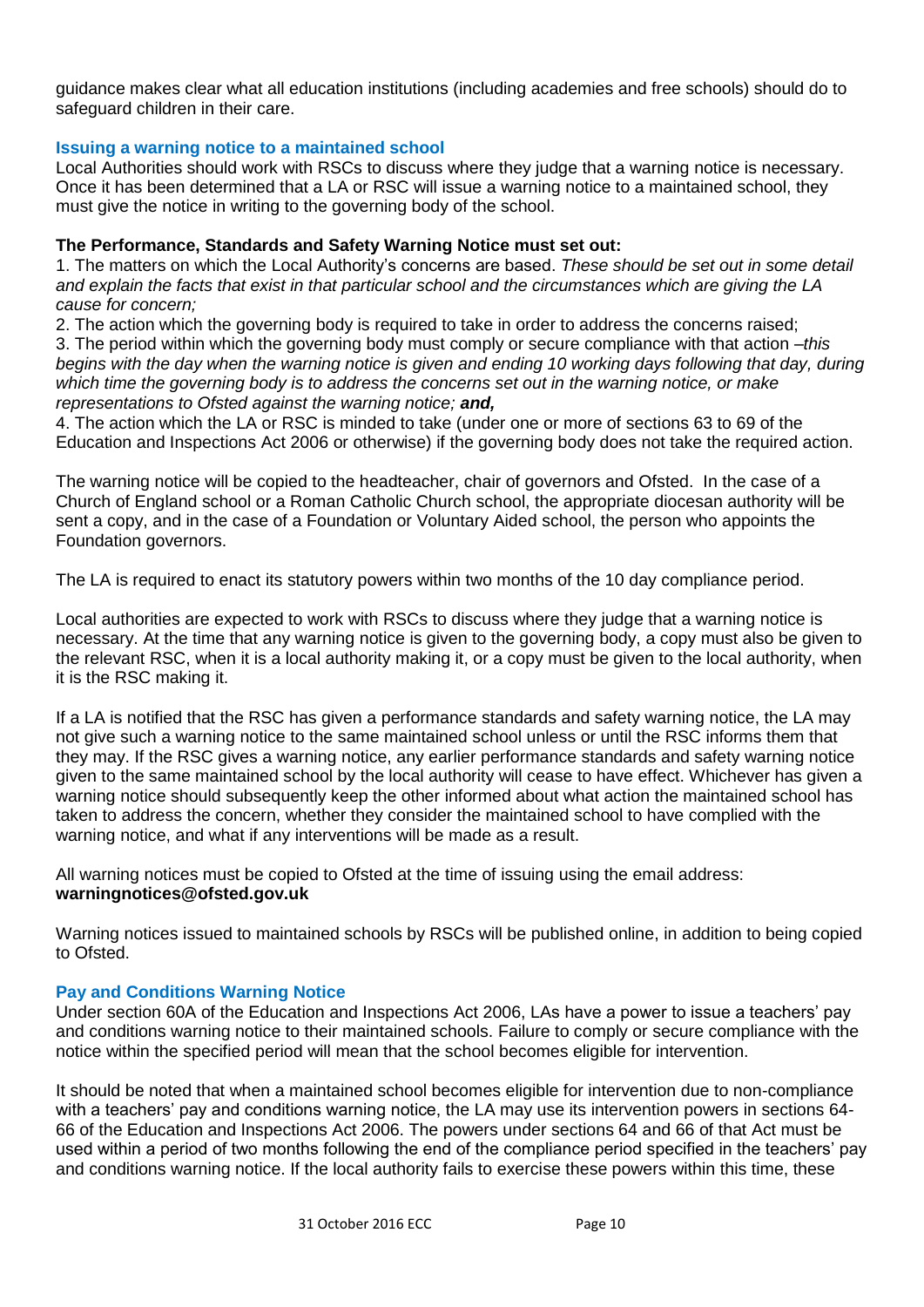guidance makes clear what all education institutions (including academies and free schools) should do to safeguard children in their care.

#### **Issuing a warning notice to a maintained school**

Local Authorities should work with RSCs to discuss where they judge that a warning notice is necessary. Once it has been determined that a LA or RSC will issue a warning notice to a maintained school, they must give the notice in writing to the governing body of the school.

#### **The Performance, Standards and Safety Warning Notice must set out:**

1. The matters on which the Local Authority's concerns are based. *These should be set out in some detail and explain the facts that exist in that particular school and the circumstances which are giving the LA cause for concern;*

2. The action which the governing body is required to take in order to address the concerns raised;

3. The period within which the governing body must comply or secure compliance with that action –*this begins with the day when the warning notice is given and ending 10 working days following that day, during which time the governing body is to address the concerns set out in the warning notice, or make representations to Ofsted against the warning notice; and,*

4. The action which the LA or RSC is minded to take (under one or more of sections 63 to 69 of the Education and Inspections Act 2006 or otherwise) if the governing body does not take the required action.

The warning notice will be copied to the headteacher, chair of governors and Ofsted. In the case of a Church of England school or a Roman Catholic Church school, the appropriate diocesan authority will be sent a copy, and in the case of a Foundation or Voluntary Aided school, the person who appoints the Foundation governors.

The LA is required to enact its statutory powers within two months of the 10 day compliance period.

Local authorities are expected to work with RSCs to discuss where they judge that a warning notice is necessary. At the time that any warning notice is given to the governing body, a copy must also be given to the relevant RSC, when it is a local authority making it, or a copy must be given to the local authority, when it is the RSC making it.

If a LA is notified that the RSC has given a performance standards and safety warning notice, the LA may not give such a warning notice to the same maintained school unless or until the RSC informs them that they may. If the RSC gives a warning notice, any earlier performance standards and safety warning notice given to the same maintained school by the local authority will cease to have effect. Whichever has given a warning notice should subsequently keep the other informed about what action the maintained school has taken to address the concern, whether they consider the maintained school to have complied with the warning notice, and what if any interventions will be made as a result.

All warning notices must be copied to Ofsted at the time of issuing using the email address: **warningnotices@ofsted.gov.uk** 

Warning notices issued to maintained schools by RSCs will be published online, in addition to being copied to Ofsted.

# **Pay and Conditions Warning Notice**

Under section 60A of the Education and Inspections Act 2006, LAs have a power to issue a teachers' pay and conditions warning notice to their maintained schools. Failure to comply or secure compliance with the notice within the specified period will mean that the school becomes eligible for intervention.

It should be noted that when a maintained school becomes eligible for intervention due to non-compliance with a teachers' pay and conditions warning notice, the LA may use its intervention powers in sections 64- 66 of the Education and Inspections Act 2006. The powers under sections 64 and 66 of that Act must be used within a period of two months following the end of the compliance period specified in the teachers' pay and conditions warning notice. If the local authority fails to exercise these powers within this time, these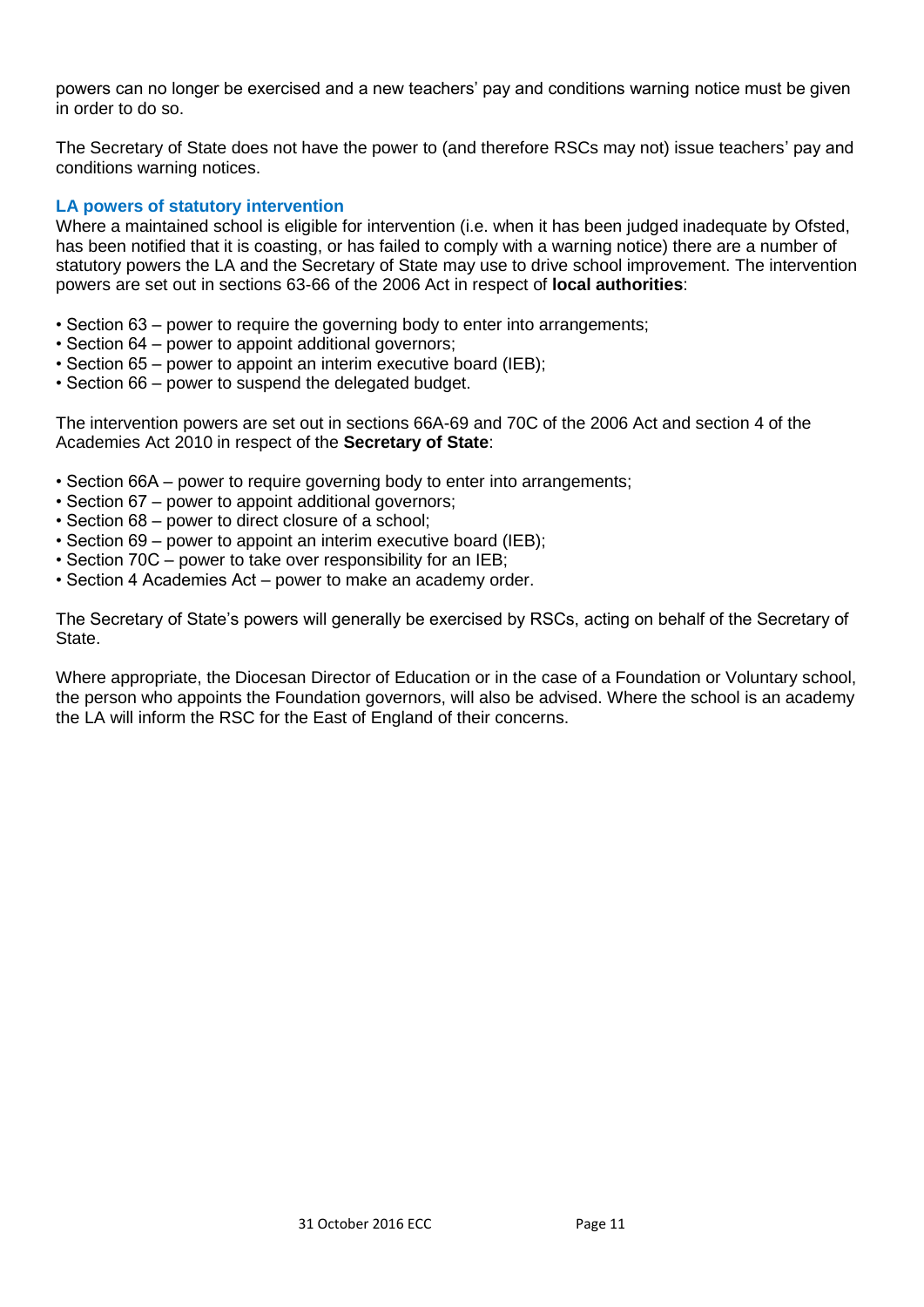powers can no longer be exercised and a new teachers' pay and conditions warning notice must be given in order to do so.

The Secretary of State does not have the power to (and therefore RSCs may not) issue teachers' pay and conditions warning notices.

# **LA powers of statutory intervention**

Where a maintained school is eligible for intervention (i.e. when it has been judged inadequate by Ofsted, has been notified that it is coasting, or has failed to comply with a warning notice) there are a number of statutory powers the LA and the Secretary of State may use to drive school improvement. The intervention powers are set out in sections 63-66 of the 2006 Act in respect of **local authorities**:

- Section 63 power to require the governing body to enter into arrangements;
- Section 64 power to appoint additional governors;
- Section 65 power to appoint an interim executive board (IEB);
- Section 66 power to suspend the delegated budget.

The intervention powers are set out in sections 66A-69 and 70C of the 2006 Act and section 4 of the Academies Act 2010 in respect of the **Secretary of State**:

- Section 66A power to require governing body to enter into arrangements;
- Section 67 power to appoint additional governors;
- Section 68 power to direct closure of a school;
- Section 69 power to appoint an interim executive board (IEB);
- Section 70C power to take over responsibility for an IEB;
- Section 4 Academies Act power to make an academy order.

The Secretary of State's powers will generally be exercised by RSCs, acting on behalf of the Secretary of State.

Where appropriate, the Diocesan Director of Education or in the case of a Foundation or Voluntary school, the person who appoints the Foundation governors, will also be advised. Where the school is an academy the LA will inform the RSC for the East of England of their concerns.